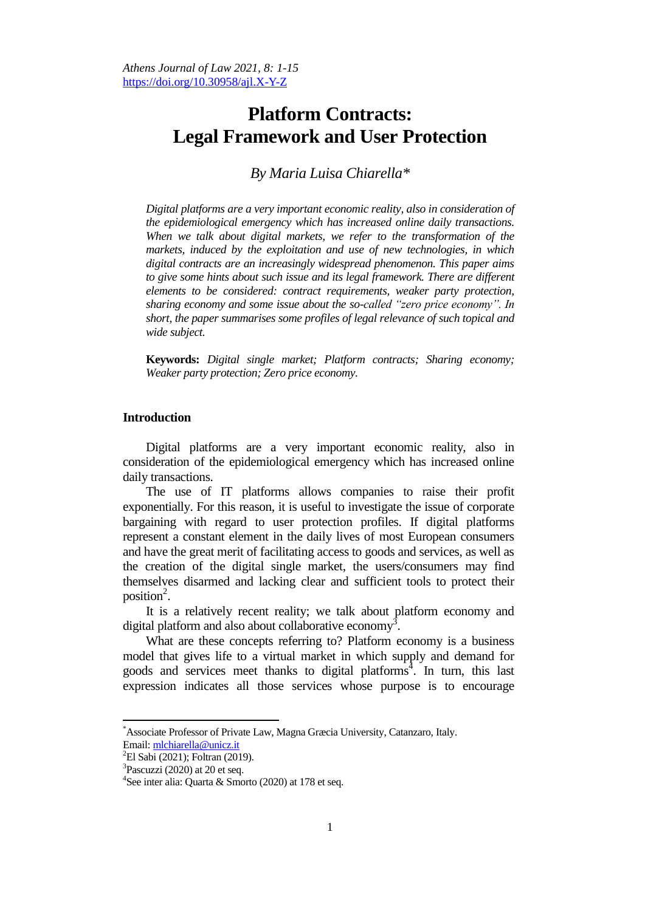# **Platform Contracts: Legal Framework and User Protection**

*By Maria Luisa Chiarella\**

*Digital platforms are a very important economic reality, also in consideration of the epidemiological emergency which has increased online daily transactions. When we talk about digital markets, we refer to the transformation of the markets, induced by the exploitation and use of new technologies, in which digital contracts are an increasingly widespread phenomenon. This paper aims*  to give some hints about such issue and its legal framework. There are different *elements to be considered: contract requirements, weaker party protection, sharing economy and some issue about the so-called "zero price economy". In short, the paper summarises some profiles of legal relevance of such topical and wide subject.*

**Keywords:** *Digital single market; Platform contracts; Sharing economy; Weaker party protection; Zero price economy.*

## **Introduction**

Digital platforms are a very important economic reality, also in consideration of the epidemiological emergency which has increased online daily transactions.

The use of IT platforms allows companies to raise their profit exponentially. For this reason, it is useful to investigate the issue of corporate bargaining with regard to user protection profiles. If digital platforms represent a constant element in the daily lives of most European consumers and have the great merit of facilitating access to goods and services, as well as the creation of the digital single market, the users/consumers may find themselves disarmed and lacking clear and sufficient tools to protect their position $^2$ .

It is a relatively recent reality; we talk about platform economy and digital platform and also about collaborative economy<sup>3</sup>.

What are these concepts referring to? Platform economy is a business model that gives life to a virtual market in which supply and demand for goods and services meet thanks to digital platforms 4 . In turn, this last expression indicates all those services whose purpose is to encourage

<sup>\*</sup>Associate Professor of Private Law, Magna Græcia University, Catanzaro, Italy. Email: [mlchiarella@unicz.it](mailto:mlchiarella@unicz.it)

 ${}^{2}$ El Sabi (2021); Foltran (2019).

 $3$ Pascuzzi (2020) at 20 et seq.

<sup>&</sup>lt;sup>4</sup>See inter alia: Quarta & Smorto (2020) at 178 et seq.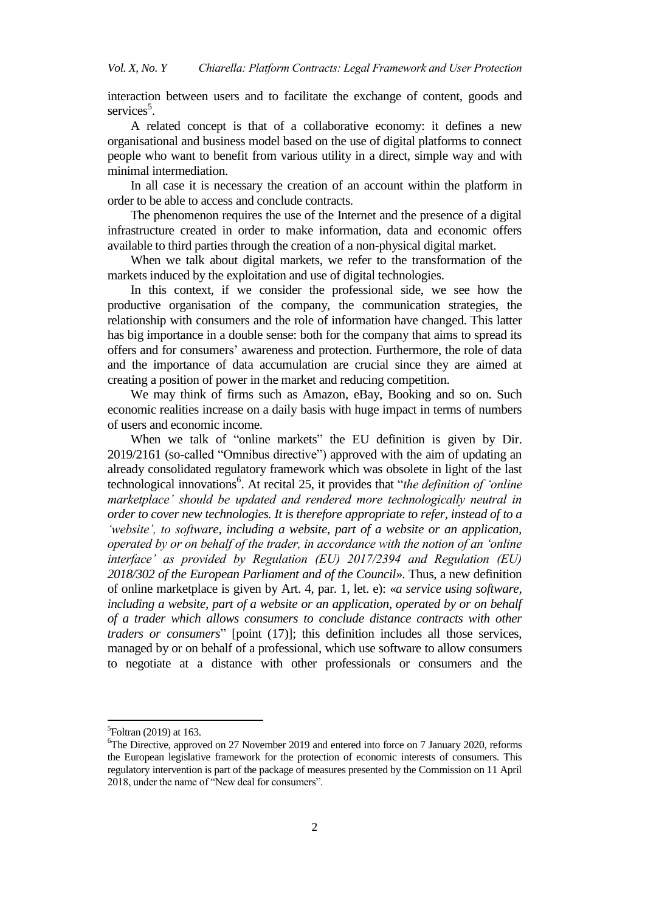interaction between users and to facilitate the exchange of content, goods and services<sup>5</sup>.

A related concept is that of a collaborative economy: it defines a new organisational and business model based on the use of digital platforms to connect people who want to benefit from various utility in a direct, simple way and with minimal intermediation.

In all case it is necessary the creation of an account within the platform in order to be able to access and conclude contracts.

The phenomenon requires the use of the Internet and the presence of a digital infrastructure created in order to make information, data and economic offers available to third parties through the creation of a non-physical digital market.

When we talk about digital markets, we refer to the transformation of the markets induced by the exploitation and use of digital technologies.

In this context, if we consider the professional side, we see how the productive organisation of the company, the communication strategies, the relationship with consumers and the role of information have changed. This latter has big importance in a double sense: both for the company that aims to spread its offers and for consumers" awareness and protection. Furthermore, the role of data and the importance of data accumulation are crucial since they are aimed at creating a position of power in the market and reducing competition.

We may think of firms such as Amazon, eBay, Booking and so on. Such economic realities increase on a daily basis with huge impact in terms of numbers of users and economic income.

When we talk of "online markets" the EU definition is given by Dir. 2019/2161 (so-called "Omnibus directive") approved with the aim of updating an already consolidated regulatory framework which was obsolete in light of the last technological innovations<sup>6</sup>. At recital 25, it provides that "*the definition of 'online marketplace" should be updated and rendered more technologically neutral in order to cover new technologies. It is therefore appropriate to refer, instead of to a "website", to software, including a website, part of a website or an application, operated by or on behalf of the trader, in accordance with the notion of an "online interface" as provided by Regulation (EU) 2017/2394 and Regulation (EU) 2018/302 of the European Parliament and of the Council*». Thus, a new definition of online marketplace is given by Art. 4, par. 1, let. e): «*a service using software, including a website, part of a website or an application, operated by or on behalf of a trader which allows consumers to conclude distance contracts with other traders or consumers*" [point (17)]; this definition includes all those services, managed by or on behalf of a professional, which use software to allow consumers to negotiate at a distance with other professionals or consumers and the

 ${}^{5}$ Foltran (2019) at 163.

 $6$ The Directive, approved on 27 November 2019 and entered into force on 7 January 2020, reforms the European legislative framework for the protection of economic interests of consumers. This regulatory intervention is part of the package of measures presented by the Commission on 11 April 2018, under the name of "New deal for consumers".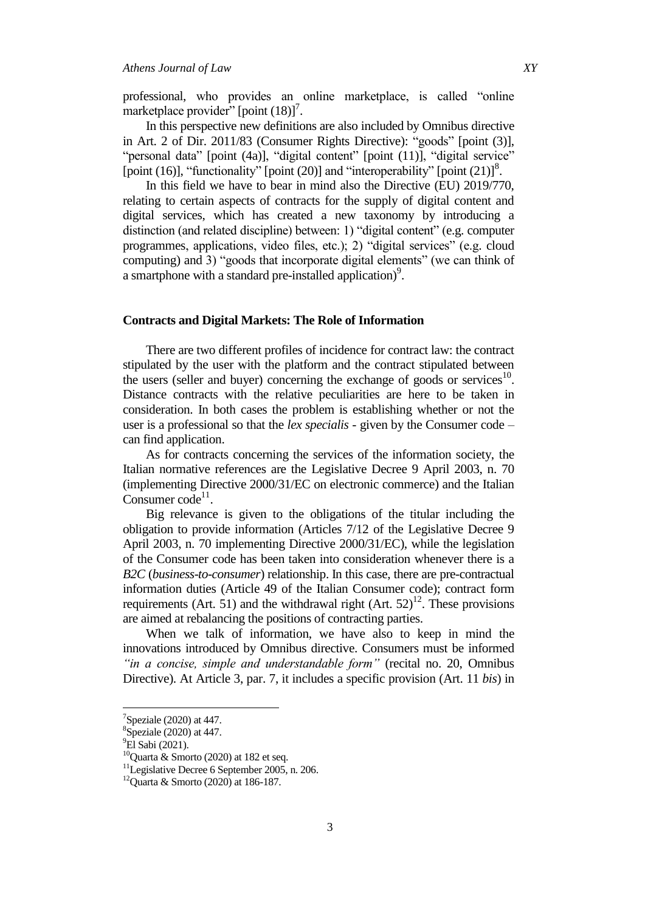professional, who provides an online marketplace, is called "online marketplace provider" [point  $(18)]^7$ .

In this perspective new definitions are also included by Omnibus directive in Art. 2 of Dir. 2011/83 (Consumer Rights Directive): "goods" [point (3)], "personal data" [point (4a)], "digital content" [point (11)], "digital service" [point (16)], "functionality" [point (20)] and "interoperability" [point (21)]<sup>8</sup>.

In this field we have to bear in mind also the Directive (EU) 2019/770, relating to certain aspects of contracts for the supply of digital content and digital services, which has created a new taxonomy by introducing a distinction (and related discipline) between: 1) "digital content" (e.g. computer programmes, applications, video files, etc.); 2) "digital services" (e.g. cloud computing) and 3) "goods that incorporate digital elements" (we can think of a smartphone with a standard pre-installed application)<sup>9</sup>.

## **Contracts and Digital Markets: The Role of Information**

There are two different profiles of incidence for contract law: the contract stipulated by the user with the platform and the contract stipulated between the users (seller and buyer) concerning the exchange of goods or services $10$ . Distance contracts with the relative peculiarities are here to be taken in consideration. In both cases the problem is establishing whether or not the user is a professional so that the *lex specialis* - given by the Consumer code – can find application.

As for contracts concerning the services of the information society, the Italian normative references are the Legislative Decree 9 April 2003, n. 70 (implementing Directive 2000/31/EC on electronic commerce) and the Italian Consumer  $code^{11}$ .

Big relevance is given to the obligations of the titular including the obligation to provide information (Articles 7/12 of the Legislative Decree 9 April 2003, n. 70 implementing Directive 2000/31/EC), while the legislation of the Consumer code has been taken into consideration whenever there is a *B2C* (*business-to-consumer*) relationship. In this case, there are pre-contractual information duties (Article 49 of the Italian Consumer code); contract form requirements (Art. 51) and the withdrawal right (Art.  $52$ )<sup>12</sup>. These provisions are aimed at rebalancing the positions of contracting parties.

When we talk of information, we have also to keep in mind the innovations introduced by Omnibus directive. Consumers must be informed *"in a concise, simple and understandable form"* (recital no. 20, Omnibus Directive). At Article 3, par. 7, it includes a specific provision (Art. 11 *bis*) in

 $7$ Speziale (2020) at 447.

<sup>&</sup>lt;sup>8</sup>Speziale (2020) at 447.

<sup>&</sup>lt;sup>9</sup>El Sabi (2021).

 $10$ Quarta & Smorto (2020) at 182 et seq.

<sup>&</sup>lt;sup>11</sup>Legislative Decree 6 September 2005, n. 206.

 $12$ Quarta & Smorto (2020) at 186-187.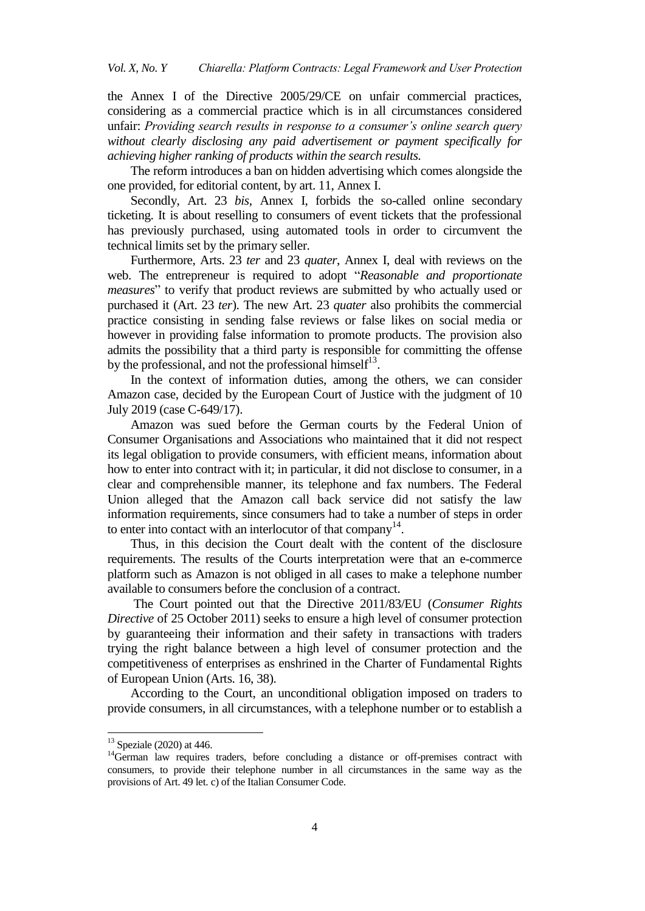the Annex I of the Directive 2005/29/CE on unfair commercial practices, considering as a commercial practice which is in all circumstances considered unfair: *Providing search results in response to a consumer"s online search query without clearly disclosing any paid advertisement or payment specifically for achieving higher ranking of products within the search results.* 

The reform introduces a ban on hidden advertising which comes alongside the one provided, for editorial content, by art. 11, Annex I.

Secondly, Art. 23 *bis*, Annex I, forbids the so-called online secondary ticketing. It is about reselling to consumers of event tickets that the professional has previously purchased, using automated tools in order to circumvent the technical limits set by the primary seller.

Furthermore, Arts. 23 *ter* and 23 *quater*, Annex I, deal with reviews on the web. The entrepreneur is required to adopt "*Reasonable and proportionate measures*" to verify that product reviews are submitted by who actually used or purchased it (Art. 23 *ter*). The new Art. 23 *quater* also prohibits the commercial practice consisting in sending false reviews or false likes on social media or however in providing false information to promote products. The provision also admits the possibility that a third party is responsible for committing the offense by the professional, and not the professional himself $1^3$ .

In the context of information duties, among the others, we can consider Amazon case, decided by the European Court of Justice with the judgment of 10 July 2019 (case C-649/17).

Amazon was sued before the German courts by the Federal Union of Consumer Organisations and Associations who maintained that it did not respect its legal obligation to provide consumers, with efficient means, information about how to enter into contract with it; in particular, it did not disclose to consumer, in a clear and comprehensible manner, its telephone and fax numbers. The Federal Union alleged that the Amazon call back service did not satisfy the law information requirements, since consumers had to take a number of steps in order to enter into contact with an interlocutor of that company $14$ .

Thus, in this decision the Court dealt with the content of the disclosure requirements. The results of the Courts interpretation were that an e-commerce platform such as Amazon is not obliged in all cases to make a telephone number available to consumers before the conclusion of a contract.

The Court pointed out that the Directive 2011/83/EU (*Consumer Rights Directive* of 25 October 2011) seeks to ensure a high level of consumer protection by guaranteeing their information and their safety in transactions with traders trying the right balance between a high level of consumer protection and the competitiveness of enterprises as enshrined in the Charter of Fundamental Rights of European Union (Arts. 16, 38).

According to the Court, an unconditional obligation imposed on traders to provide consumers, in all circumstances, with a telephone number or to establish a

 $13$  Speziale (2020) at 446.

 $14$ German law requires traders, before concluding a distance or off-premises contract with consumers, to provide their telephone number in all circumstances in the same way as the provisions of Art. 49 let. c) of the Italian Consumer Code.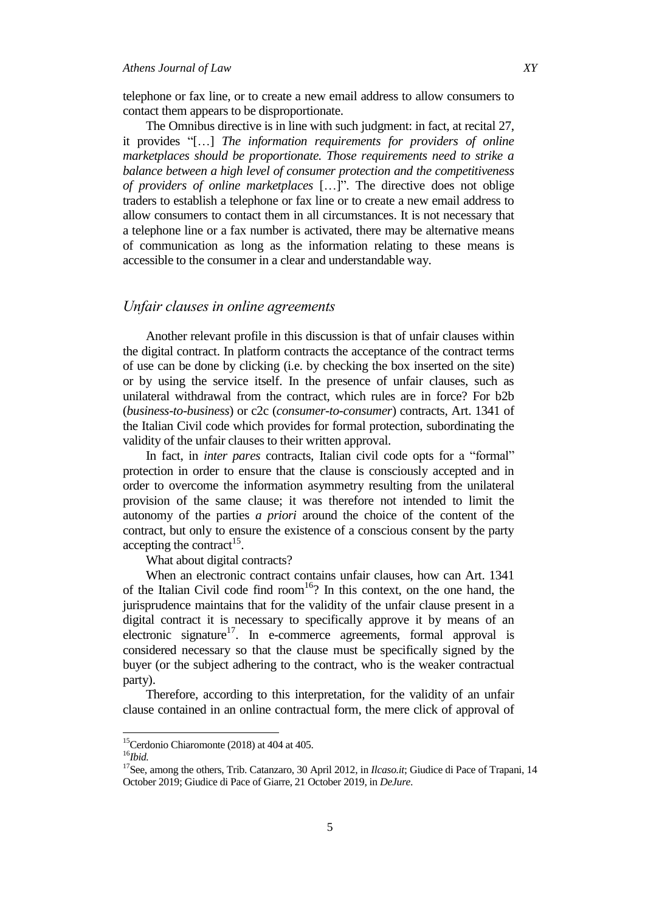## *Athens Journal of Law XY*

telephone or fax line, or to create a new email address to allow consumers to contact them appears to be disproportionate.

The Omnibus directive is in line with such judgment: in fact, at recital 27, it provides "[…] *The information requirements for providers of online marketplaces should be proportionate. Those requirements need to strike a balance between a high level of consumer protection and the competitiveness of providers of online marketplaces* […]". The directive does not oblige traders to establish a telephone or fax line or to create a new email address to allow consumers to contact them in all circumstances. It is not necessary that a telephone line or a fax number is activated, there may be alternative means of communication as long as the information relating to these means is accessible to the consumer in a clear and understandable way.

# *Unfair clauses in online agreements*

Another relevant profile in this discussion is that of unfair clauses within the digital contract. In platform contracts the acceptance of the contract terms of use can be done by clicking (i.e. by checking the box inserted on the site) or by using the service itself. In the presence of unfair clauses, such as unilateral withdrawal from the contract, which rules are in force? For b2b (*business-to-business*) or c2c (*consumer-to-consumer*) contracts, Art. 1341 of the Italian Civil code which provides for formal protection, subordinating the validity of the unfair clauses to their written approval.

In fact, in *inter pares* contracts, Italian civil code opts for a "formal" protection in order to ensure that the clause is consciously accepted and in order to overcome the information asymmetry resulting from the unilateral provision of the same clause; it was therefore not intended to limit the autonomy of the parties *a priori* around the choice of the content of the contract, but only to ensure the existence of a conscious consent by the party accepting the contract<sup>15</sup>.

What about digital contracts?

When an electronic contract contains unfair clauses, how can Art. 1341 of the Italian Civil code find room<sup>16</sup>? In this context, on the one hand, the jurisprudence maintains that for the validity of the unfair clause present in a digital contract it is necessary to specifically approve it by means of an electronic signature<sup>17</sup>. In e-commerce agreements, formal approval is considered necessary so that the clause must be specifically signed by the buyer (or the subject adhering to the contract, who is the weaker contractual party).

Therefore, according to this interpretation, for the validity of an unfair clause contained in an online contractual form, the mere click of approval of

<sup>&</sup>lt;sup>15</sup>Cerdonio Chiaromonte (2018) at 404 at 405.

<sup>16</sup>*Ibid.*

<sup>&</sup>lt;sup>17</sup>See, among the others, Trib. Catanzaro, 30 April 2012, in *Ilcaso.it*; Giudice di Pace of Trapani, 14 October 2019; Giudice di Pace of Giarre, 21 October 2019, in *DeJure*.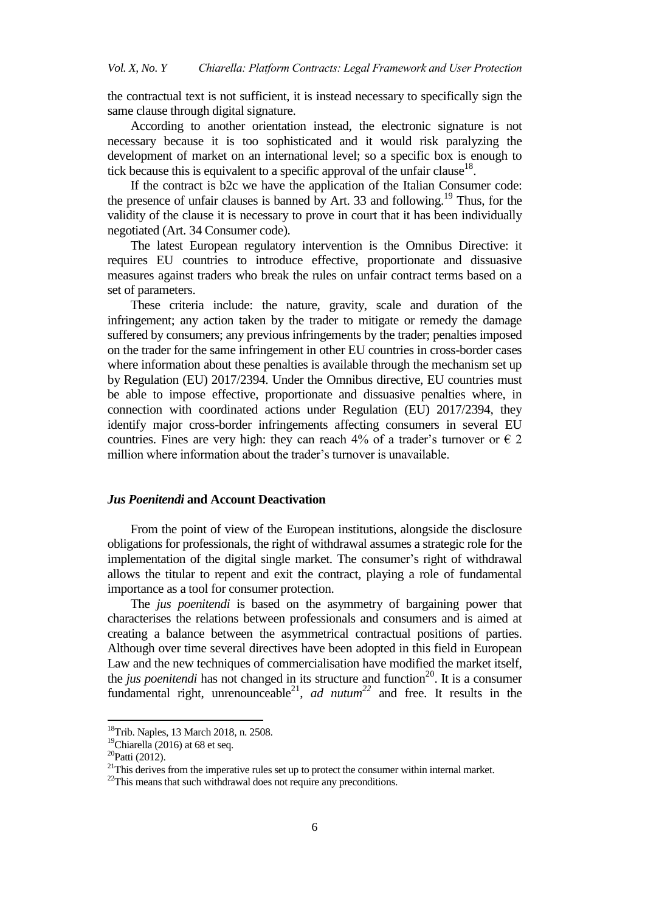the contractual text is not sufficient, it is instead necessary to specifically sign the same clause through digital signature.

According to another orientation instead, the electronic signature is not necessary because it is too sophisticated and it would risk paralyzing the development of market on an international level; so a specific box is enough to tick because this is equivalent to a specific approval of the unfair clause<sup>18</sup>.

If the contract is b2c we have the application of the Italian Consumer code: the presence of unfair clauses is banned by Art. 33 and following.<sup>19</sup> Thus, for the validity of the clause it is necessary to prove in court that it has been individually negotiated (Art. 34 Consumer code).

The latest European regulatory intervention is the Omnibus Directive: it requires EU countries to introduce effective, proportionate and dissuasive measures against traders who break the rules on unfair contract terms based on a set of parameters.

These criteria include: the nature, gravity, scale and duration of the infringement; any action taken by the trader to mitigate or remedy the damage suffered by consumers; any previous infringements by the trader; penalties imposed on the trader for the same infringement in other EU countries in cross-border cases where information about these penalties is available through the mechanism set up by Regulation (EU) 2017/2394. Under the Omnibus directive, EU countries must be able to impose effective, proportionate and dissuasive penalties where, in connection with coordinated actions under Regulation (EU) 2017/2394, they identify major cross-border infringements affecting consumers in several EU countries. Fines are very high: they can reach 4% of a trader's turnover or  $\epsilon$  2 million where information about the trader's turnover is unavailable.

# *Jus Poenitendi* **and Account Deactivation**

From the point of view of the European institutions, alongside the disclosure obligations for professionals, the right of withdrawal assumes a strategic role for the implementation of the digital single market. The consumer's right of withdrawal allows the titular to repent and exit the contract, playing a role of fundamental importance as a tool for consumer protection.

The *jus poenitendi* is based on the asymmetry of bargaining power that characterises the relations between professionals and consumers and is aimed at creating a balance between the asymmetrical contractual positions of parties. Although over time several directives have been adopted in this field in European Law and the new techniques of commercialisation have modified the market itself, the *jus poenitendi* has not changed in its structure and function<sup>20</sup>. It is a consumer fundamental right, unrenounceable<sup>21</sup>, *ad nutum*<sup>22</sup> and free. It results in the

<sup>18</sup>Trib. Naples, 13 March 2018, n. 2508.

 $19$ Chiarella (2016) at 68 et seq.

 $20P$ atti (2012).

 $21$ This derives from the imperative rules set up to protect the consumer within internal market.

 $22$ This means that such withdrawal does not require any preconditions.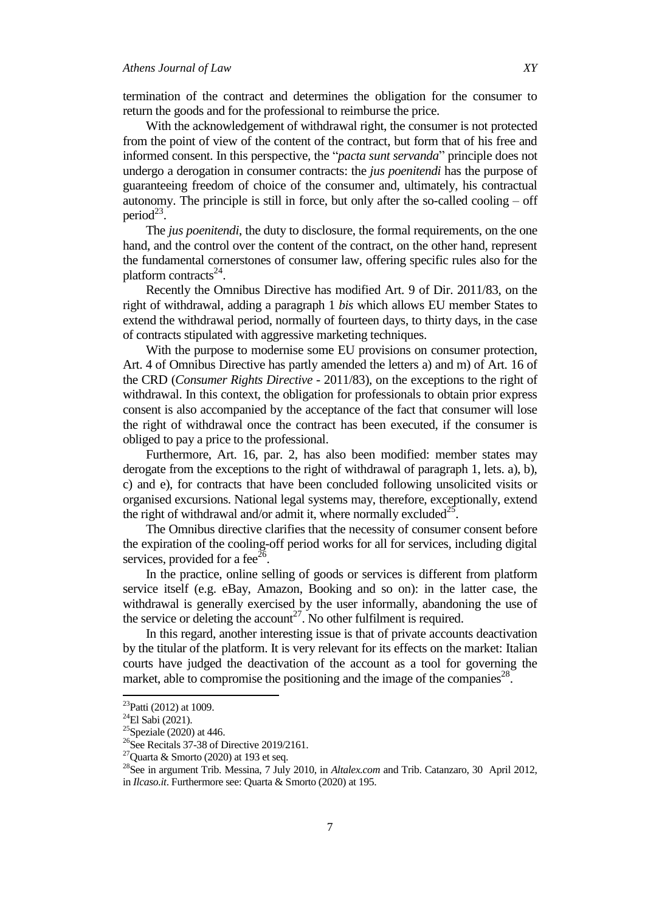termination of the contract and determines the obligation for the consumer to return the goods and for the professional to reimburse the price.

With the acknowledgement of withdrawal right, the consumer is not protected from the point of view of the content of the contract, but form that of his free and informed consent. In this perspective, the "*pacta sunt servanda*" principle does not undergo a derogation in consumer contracts: the *jus poenitendi* has the purpose of guaranteeing freedom of choice of the consumer and, ultimately, his contractual autonomy. The principle is still in force, but only after the so-called cooling – off period $^{23}$ .

The *jus poenitendi*, the duty to disclosure, the formal requirements, on the one hand, and the control over the content of the contract, on the other hand, represent the fundamental cornerstones of consumer law, offering specific rules also for the platform contracts $^{24}$ .

Recently the Omnibus Directive has modified Art. 9 of Dir. 2011/83, on the right of withdrawal, adding a paragraph 1 *bis* which allows EU member States to extend the withdrawal period, normally of fourteen days, to thirty days, in the case of contracts stipulated with aggressive marketing techniques.

With the purpose to modernise some EU provisions on consumer protection, Art. 4 of Omnibus Directive has partly amended the letters a) and m) of Art. 16 of the CRD (*Consumer Rights Directive* - 2011/83), on the exceptions to the right of withdrawal. In this context, the obligation for professionals to obtain prior express consent is also accompanied by the acceptance of the fact that consumer will lose the right of withdrawal once the contract has been executed, if the consumer is obliged to pay a price to the professional.

Furthermore, Art. 16, par. 2, has also been modified: member states may derogate from the exceptions to the right of withdrawal of paragraph 1, lets. a), b), c) and e), for contracts that have been concluded following unsolicited visits or organised excursions. National legal systems may, therefore, exceptionally, extend the right of withdrawal and/or admit it, where normally excluded<sup>25</sup>.

The Omnibus directive clarifies that the necessity of consumer consent before the expiration of the cooling-off period works for all for services, including digital services, provided for a fee<sup>26</sup>.

In the practice, online selling of goods or services is different from platform service itself (e.g. eBay, Amazon, Booking and so on): in the latter case, the withdrawal is generally exercised by the user informally, abandoning the use of the service or deleting the account<sup>27</sup>. No other fulfilment is required.

In this regard, another interesting issue is that of private accounts deactivation by the titular of the platform. It is very relevant for its effects on the market: Italian courts have judged the deactivation of the account as a tool for governing the market, able to compromise the positioning and the image of the companies<sup>28</sup>.

 $^{23}$ Patti (2012) at 1009.

 $^{24}$ El Sabi (2021).

 $25$ Speziale (2020) at 446.

 $^{26}$ See Recitals 37-38 of Directive 2019/2161.

<sup>&</sup>lt;sup>27</sup>Quarta & Smorto (2020) at 193 et seq.

<sup>28</sup>See in argument Trib. Messina, 7 July 2010, in *Altalex.com* and Trib. Catanzaro, 30 April 2012, in *Ilcaso.it*. Furthermore see: Quarta & Smorto (2020) at 195.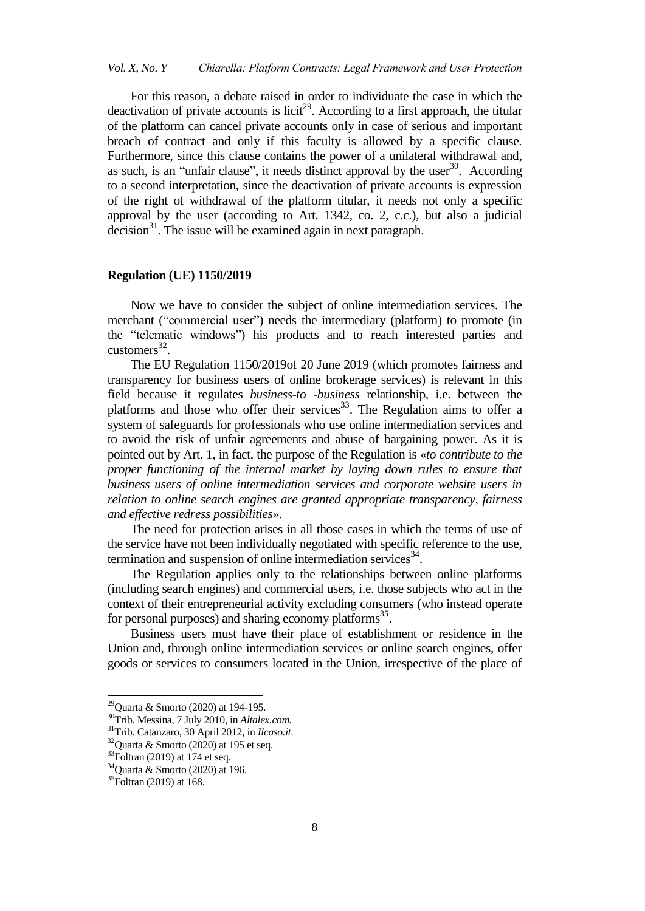For this reason, a debate raised in order to individuate the case in which the deactivation of private accounts is licit<sup>29</sup>. According to a first approach, the titular of the platform can cancel private accounts only in case of serious and important breach of contract and only if this faculty is allowed by a specific clause. Furthermore, since this clause contains the power of a unilateral withdrawal and, as such, is an "unfair clause", it needs distinct approval by the user $30$ . According to a second interpretation, since the deactivation of private accounts is expression of the right of withdrawal of the platform titular, it needs not only a specific approval by the user (according to Art. 1342, co. 2, c.c.), but also a judicial decision $31$ . The issue will be examined again in next paragraph.

#### **Regulation (UE) 1150/2019**

Now we have to consider the subject of online intermediation services. The merchant ("commercial user") needs the intermediary (platform) to promote (in the "telematic windows") his products and to reach interested parties and  $\text{customers}^{32}$ .

The EU Regulation 1150/2019of 20 June 2019 (which promotes fairness and transparency for business users of online brokerage services) is relevant in this field because it regulates *business-to -business* relationship, i.e. between the platforms and those who offer their services<sup>33</sup>. The Regulation aims to offer a system of safeguards for professionals who use online intermediation services and to avoid the risk of unfair agreements and abuse of bargaining power. As it is pointed out by Art. 1, in fact, the purpose of the Regulation is «*to contribute to the proper functioning of the internal market by laying down rules to ensure that business users of online intermediation services and corporate website users in relation to online search engines are granted appropriate transparency, fairness and effective redress possibilities*».

The need for protection arises in all those cases in which the terms of use of the service have not been individually negotiated with specific reference to the use, termination and suspension of online intermediation services $34$ .

The Regulation applies only to the relationships between online platforms (including search engines) and commercial users, i.e. those subjects who act in the context of their entrepreneurial activity excluding consumers (who instead operate for personal purposes) and sharing economy platforms<sup>35</sup>.

Business users must have their place of establishment or residence in the Union and, through online intermediation services or online search engines, offer goods or services to consumers located in the Union, irrespective of the place of

1

<sup>&</sup>lt;sup>29</sup>Quarta & Smorto (2020) at 194-195.

<sup>30</sup>Trib. Messina, 7 July 2010, in *Altalex.com.*

<sup>31</sup>Trib. Catanzaro, 30 April 2012, in *Ilcaso.it*.

 $32$ Quarta & Smorto (2020) at 195 et seq.

 $33$ Foltran (2019) at 174 et seq.

<sup>34</sup>Quarta & Smorto (2020) at 196.

<sup>&</sup>lt;sup>35</sup>Foltran (2019) at 168.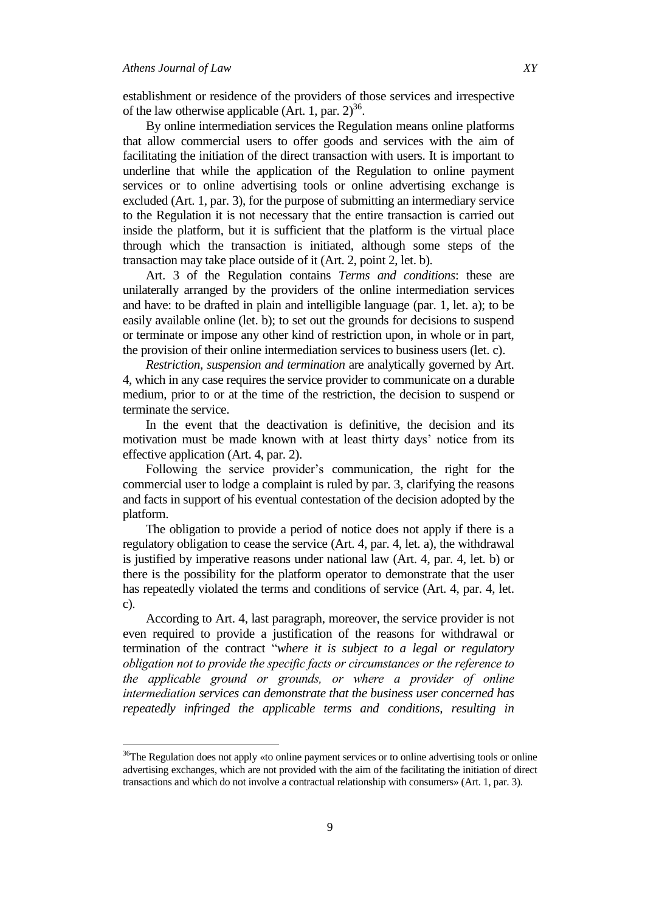$\overline{a}$ 

establishment or residence of the providers of those services and irrespective of the law otherwise applicable (Art. 1, par.  $2^{36}$ .

By online intermediation services the Regulation means online platforms that allow commercial users to offer goods and services with the aim of facilitating the initiation of the direct transaction with users. It is important to underline that while the application of the Regulation to online payment services or to online advertising tools or online advertising exchange is excluded (Art. 1, par. 3), for the purpose of submitting an intermediary service to the Regulation it is not necessary that the entire transaction is carried out inside the platform, but it is sufficient that the platform is the virtual place through which the transaction is initiated, although some steps of the transaction may take place outside of it (Art. 2, point 2, let. b).

Art. 3 of the Regulation contains *Terms and conditions*: these are unilaterally arranged by the providers of the online intermediation services and have: to be drafted in plain and intelligible language (par. 1, let. a); to be easily available online (let. b); to set out the grounds for decisions to suspend or terminate or impose any other kind of restriction upon, in whole or in part, the provision of their online intermediation services to business users (let. c).

*Restriction, suspension and termination* are analytically governed by Art. 4, which in any case requires the service provider to communicate on a durable medium, prior to or at the time of the restriction, the decision to suspend or terminate the service.

In the event that the deactivation is definitive, the decision and its motivation must be made known with at least thirty days' notice from its effective application (Art. 4, par. 2).

Following the service provider"s communication, the right for the commercial user to lodge a complaint is ruled by par. 3, clarifying the reasons and facts in support of his eventual contestation of the decision adopted by the platform.

The obligation to provide a period of notice does not apply if there is a regulatory obligation to cease the service (Art. 4, par. 4, let. a), the withdrawal is justified by imperative reasons under national law (Art. 4, par. 4, let. b) or there is the possibility for the platform operator to demonstrate that the user has repeatedly violated the terms and conditions of service (Art. 4, par. 4, let. c).

According to Art. 4, last paragraph, moreover, the service provider is not even required to provide a justification of the reasons for withdrawal or termination of the contract "*where it is subject to a legal or regulatory obligation not to provide the specific facts or circumstances or the reference to the applicable ground or grounds, or where a provider of online intermediation services can demonstrate that the business user concerned has repeatedly infringed the applicable terms and conditions, resulting in* 

<sup>&</sup>lt;sup>36</sup>The Regulation does not apply «to online payment services or to online advertising tools or online advertising exchanges, which are not provided with the aim of the facilitating the initiation of direct transactions and which do not involve a contractual relationship with consumers» (Art. 1, par. 3).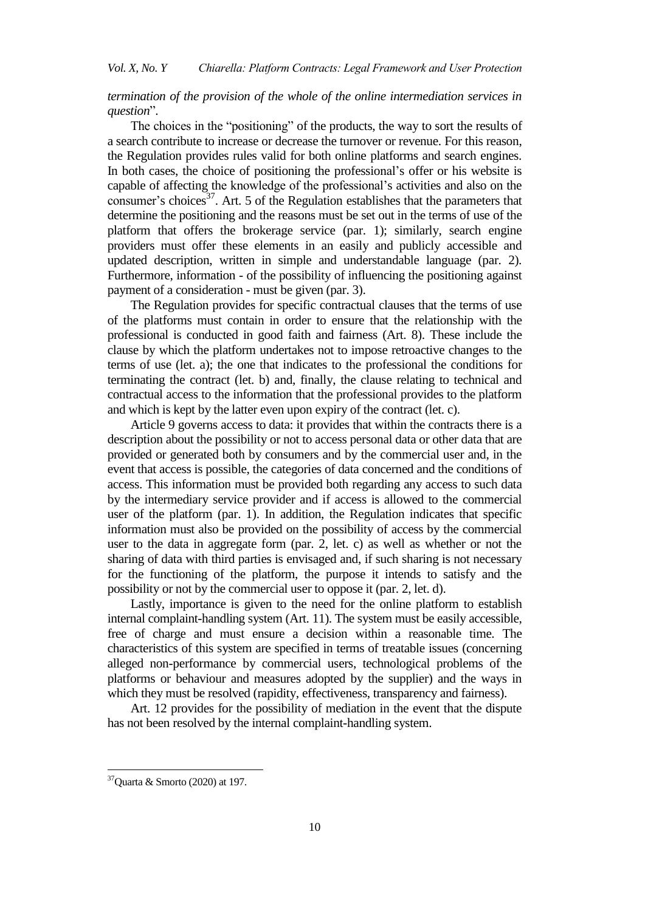# *termination of the provision of the whole of the online intermediation services in question*".

The choices in the "positioning" of the products, the way to sort the results of a search contribute to increase or decrease the turnover or revenue. For this reason, the Regulation provides rules valid for both online platforms and search engines. In both cases, the choice of positioning the professional"s offer or his website is capable of affecting the knowledge of the professional"s activities and also on the consumer's choices<sup>37</sup>. Art. 5 of the Regulation establishes that the parameters that determine the positioning and the reasons must be set out in the terms of use of the platform that offers the brokerage service (par. 1); similarly, search engine providers must offer these elements in an easily and publicly accessible and updated description, written in simple and understandable language (par. 2). Furthermore, information - of the possibility of influencing the positioning against payment of a consideration - must be given (par. 3).

The Regulation provides for specific contractual clauses that the terms of use of the platforms must contain in order to ensure that the relationship with the professional is conducted in good faith and fairness (Art. 8). These include the clause by which the platform undertakes not to impose retroactive changes to the terms of use (let. a); the one that indicates to the professional the conditions for terminating the contract (let. b) and, finally, the clause relating to technical and contractual access to the information that the professional provides to the platform and which is kept by the latter even upon expiry of the contract (let. c).

Article 9 governs access to data: it provides that within the contracts there is a description about the possibility or not to access personal data or other data that are provided or generated both by consumers and by the commercial user and, in the event that access is possible, the categories of data concerned and the conditions of access. This information must be provided both regarding any access to such data by the intermediary service provider and if access is allowed to the commercial user of the platform (par. 1). In addition, the Regulation indicates that specific information must also be provided on the possibility of access by the commercial user to the data in aggregate form (par. 2, let. c) as well as whether or not the sharing of data with third parties is envisaged and, if such sharing is not necessary for the functioning of the platform, the purpose it intends to satisfy and the possibility or not by the commercial user to oppose it (par. 2, let. d).

Lastly, importance is given to the need for the online platform to establish internal complaint-handling system (Art. 11). The system must be easily accessible, free of charge and must ensure a decision within a reasonable time. The characteristics of this system are specified in terms of treatable issues (concerning alleged non-performance by commercial users, technological problems of the platforms or behaviour and measures adopted by the supplier) and the ways in which they must be resolved (rapidity, effectiveness, transparency and fairness).

Art. 12 provides for the possibility of mediation in the event that the dispute has not been resolved by the internal complaint-handling system.

1

 $37$ Quarta & Smorto (2020) at 197.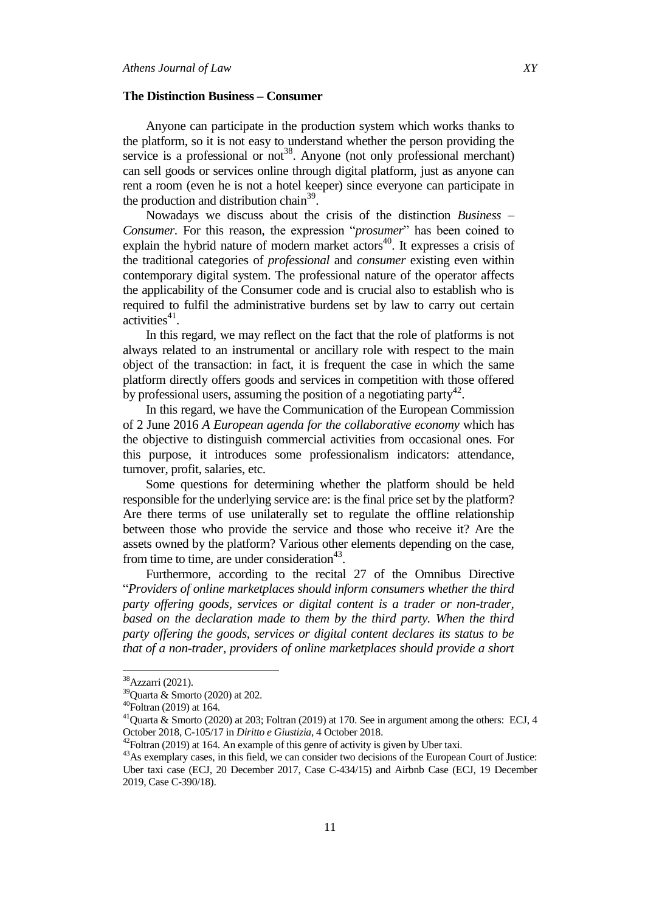## **The Distinction Business – Consumer**

Anyone can participate in the production system which works thanks to the platform, so it is not easy to understand whether the person providing the service is a professional or not<sup>38</sup>. Anyone (not only professional merchant) can sell goods or services online through digital platform, just as anyone can rent a room (even he is not a hotel keeper) since everyone can participate in the production and distribution chain<sup>39</sup>.

Nowadays we discuss about the crisis of the distinction *Business – Consumer*. For this reason, the expression "*prosumer*" has been coined to explain the hybrid nature of modern market  $\arccos^{40}$ . It expresses a crisis of the traditional categories of *professional* and *consumer* existing even within contemporary digital system. The professional nature of the operator affects the applicability of the Consumer code and is crucial also to establish who is required to fulfil the administrative burdens set by law to carry out certain  $\arctivities^{41}$ .

In this regard, we may reflect on the fact that the role of platforms is not always related to an instrumental or ancillary role with respect to the main object of the transaction: in fact, it is frequent the case in which the same platform directly offers goods and services in competition with those offered by professional users, assuming the position of a negotiating party<sup>42</sup>.

In this regard, we have the Communication of the European Commission of 2 June 2016 *A European agenda for the collaborative economy* which has the objective to distinguish commercial activities from occasional ones. For this purpose, it introduces some professionalism indicators: attendance, turnover, profit, salaries, etc.

Some questions for determining whether the platform should be held responsible for the underlying service are: is the final price set by the platform? Are there terms of use unilaterally set to regulate the offline relationship between those who provide the service and those who receive it? Are the assets owned by the platform? Various other elements depending on the case, from time to time, are under consideration $43$ .

Furthermore, according to the recital 27 of the Omnibus Directive "*Providers of online marketplaces should inform consumers whether the third party offering goods, services or digital content is a trader or non-trader,*  based on the declaration made to them by the third party. When the third *party offering the goods, services or digital content declares its status to be that of a non-trader, providers of online marketplaces should provide a short* 

<sup>&</sup>lt;sup>38</sup> Azzarri (2021).

<sup>39</sup>Quarta & Smorto (2020) at 202.

 $40$ Foltran (2019) at 164.

<sup>&</sup>lt;sup>41</sup>Quarta & Smorto (2020) at 203; Foltran (2019) at 170. See in argument among the others: ECJ, 4 October 2018, C-105/17 in *Diritto e Giustizia*, 4 October 2018.

 $42$ Foltran (2019) at 164. An example of this genre of activity is given by Uber taxi.

<sup>&</sup>lt;sup>43</sup>As exemplary cases, in this field, we can consider two decisions of the European Court of Justice: Uber taxi case (ECJ, 20 December 2017, Case C-434/15) and Airbnb Case (ECJ, 19 December 2019, Case C-390/18).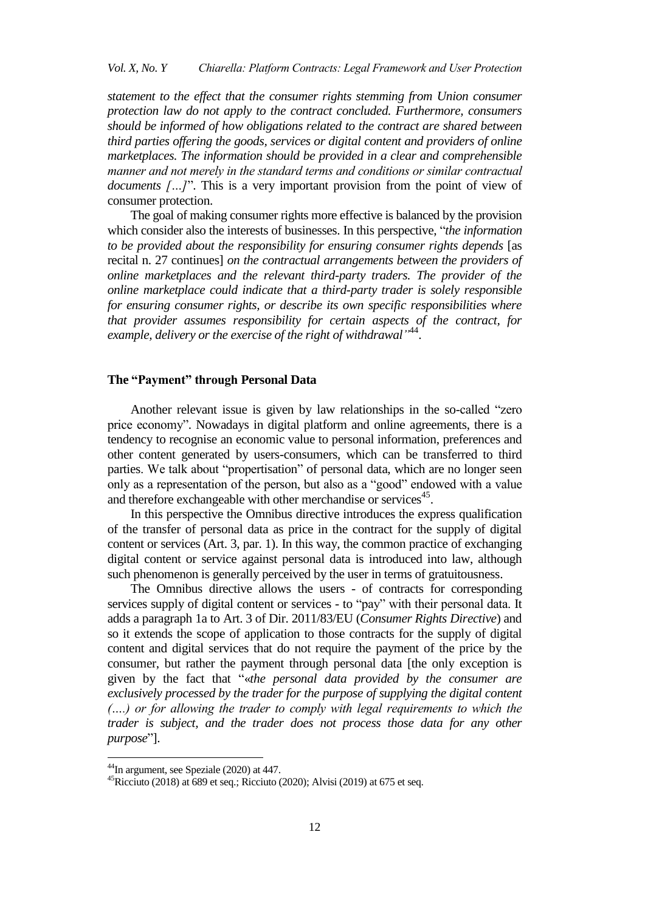## *Vol. X, No. Y Chiarella: Platform Contracts: Legal Framework and User Protection*

*statement to the effect that the consumer rights stemming from Union consumer protection law do not apply to the contract concluded. Furthermore, consumers should be informed of how obligations related to the contract are shared between third parties offering the goods, services or digital content and providers of online marketplaces. The information should be provided in a clear and comprehensible manner and not merely in the standard terms and conditions or similar contractual documents […]*". This is a very important provision from the point of view of consumer protection.

The goal of making consumer rights more effective is balanced by the provision which consider also the interests of businesses. In this perspective, "*the information to be provided about the responsibility for ensuring consumer rights depends* [as recital n. 27 continues] *on the contractual arrangements between the providers of online marketplaces and the relevant third-party traders. The provider of the online marketplace could indicate that a third-party trader is solely responsible for ensuring consumer rights, or describe its own specific responsibilities where that provider assumes responsibility for certain aspects of the contract, for*  example, delivery or the exercise of the right of withdrawal<sup>144</sup>.

## **The "Payment" through Personal Data**

Another relevant issue is given by law relationships in the so-called "zero price economy". Nowadays in digital platform and online agreements, there is a tendency to recognise an economic value to personal information, preferences and other content generated by users-consumers, which can be transferred to third parties. We talk about "propertisation" of personal data, which are no longer seen only as a representation of the person, but also as a "good" endowed with a value and therefore exchangeable with other merchandise or services<sup>45</sup>.

In this perspective the Omnibus directive introduces the express qualification of the transfer of personal data as price in the contract for the supply of digital content or services (Art. 3, par. 1). In this way, the common practice of exchanging digital content or service against personal data is introduced into law, although such phenomenon is generally perceived by the user in terms of gratuitousness.

The Omnibus directive allows the users - of contracts for corresponding services supply of digital content or services - to "pay" with their personal data. It adds a paragraph 1a to Art. 3 of Dir. 2011/83/EU (*Consumer Rights Directive*) and so it extends the scope of application to those contracts for the supply of digital content and digital services that do not require the payment of the price by the consumer, but rather the payment through personal data [the only exception is given by the fact that "«*the personal data provided by the consumer are exclusively processed by the trader for the purpose of supplying the digital content (….) or for allowing the trader to comply with legal requirements to which the trader is subject, and the trader does not process those data for any other purpose*"].

<sup>&</sup>lt;sup>44</sup>In argument, see Speziale (2020) at 447.

<sup>&</sup>lt;sup>45</sup>Ricciuto (2018) at 689 et seq.; Ricciuto (2020); Alvisi (2019) at 675 et seq.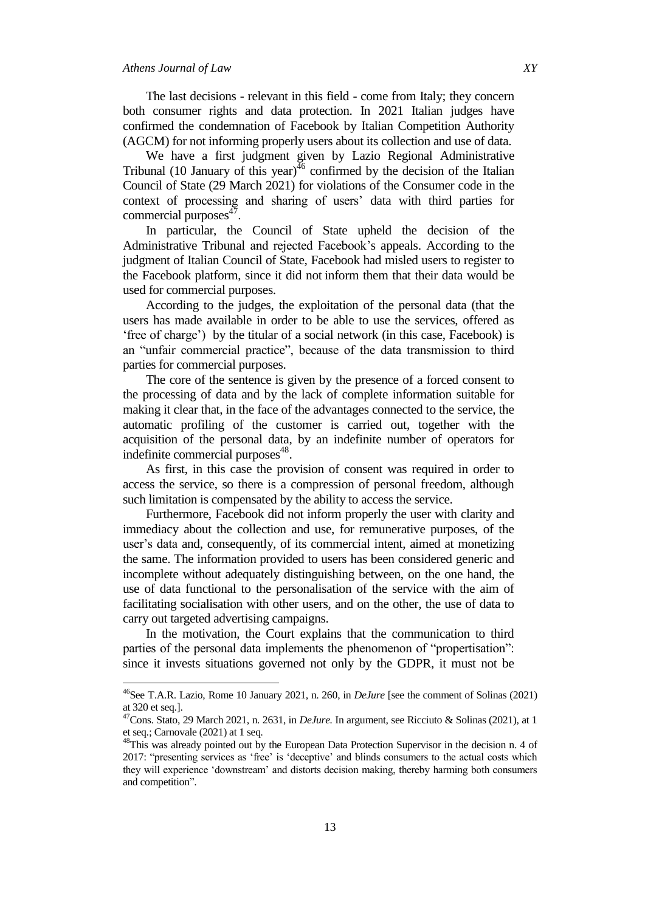$\overline{\phantom{a}}$ 

The last decisions - relevant in this field - come from Italy; they concern both consumer rights and data protection. In 2021 Italian judges have confirmed the condemnation of Facebook by Italian Competition Authority (AGCM) for not informing properly users about its collection and use of data.

We have a first judgment given by Lazio Regional Administrative Tribunal (10 January of this year) $^{46}$  confirmed by the decision of the Italian Council of State (29 March 2021) for violations of the Consumer code in the context of processing and sharing of users' data with third parties for commercial purposes<sup>47</sup>.

In particular, the Council of State upheld the decision of the Administrative Tribunal and rejected Facebook"s appeals. According to the judgment of Italian Council of State, Facebook had misled users to register to the Facebook platform, since it did not inform them that their data would be used for commercial purposes.

According to the judges, the exploitation of the personal data (that the users has made available in order to be able to use the services, offered as ʻfree of charge') by the titular of a social network (in this case, Facebook) is an "unfair commercial practice", because of the data transmission to third parties for commercial purposes.

The core of the sentence is given by the presence of a forced consent to the processing of data and by the lack of complete information suitable for making it clear that, in the face of the advantages connected to the service, the automatic profiling of the customer is carried out, together with the acquisition of the personal data, by an indefinite number of operators for indefinite commercial purposes<sup>48</sup>.

As first, in this case the provision of consent was required in order to access the service, so there is a compression of personal freedom, although such limitation is compensated by the ability to access the service.

Furthermore, Facebook did not inform properly the user with clarity and immediacy about the collection and use, for remunerative purposes, of the user"s data and, consequently, of its commercial intent, aimed at monetizing the same. The information provided to users has been considered generic and incomplete without adequately distinguishing between, on the one hand, the use of data functional to the personalisation of the service with the aim of facilitating socialisation with other users, and on the other, the use of data to carry out targeted advertising campaigns.

In the motivation, the Court explains that the communication to third parties of the personal data implements the phenomenon of "propertisation": since it invests situations governed not only by the GDPR, it must not be

<sup>46</sup>See T.A.R. Lazio, Rome 10 January 2021, n. 260, in *DeJure* [see the comment of Solinas (2021) at 320 et seq.].

<sup>47</sup>Cons. Stato, 29 March 2021, n. 2631, in *DeJure.* In argument, see Ricciuto & Solinas (2021), at 1 et seq.; Carnovale (2021) at 1 seq*.*

<sup>&</sup>lt;sup>48</sup>This was already pointed out by the European Data Protection Supervisor in the decision n. 4 of 2017: "presenting services as ʻfree' is ʻdeceptive' and blinds consumers to the actual costs which they will experience ʻdownstream' and distorts decision making, thereby harming both consumers and competition".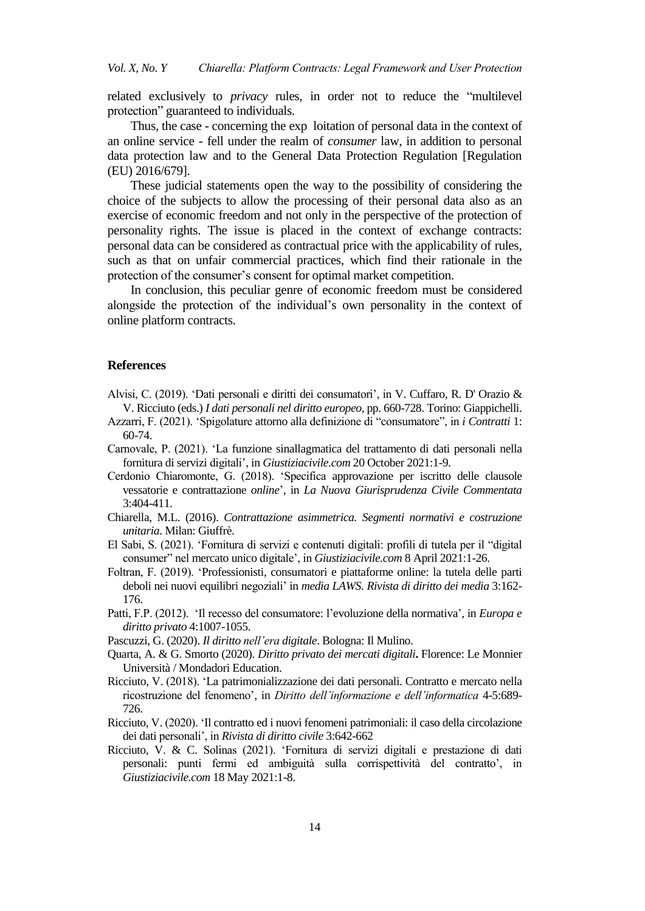related exclusively to *privacy* rules, in order not to reduce the "multilevel protection" guaranteed to individuals.

Thus, the case - concerning the exp loitation of personal data in the context of an online service - fell under the realm of *consumer* law, in addition to personal data protection law and to the General Data Protection Regulation [Regulation (EU) 2016/679].

These judicial statements open the way to the possibility of considering the choice of the subjects to allow the processing of their personal data also as an exercise of economic freedom and not only in the perspective of the protection of personality rights. The issue is placed in the context of exchange contracts: personal data can be considered as contractual price with the applicability of rules, such as that on unfair commercial practices, which find their rationale in the protection of the consumer's consent for optimal market competition.

In conclusion, this peculiar genre of economic freedom must be considered alongside the protection of the individual"s own personality in the context of online platform contracts.

#### **References**

- Alvisi, C. (2019). ʻDati personali e diritti dei consumatori', in V. Cuffaro, R. D' Orazio & V. Ricciuto (eds.) *I dati personali nel diritto europeo*, pp. 660-728. Torino: Giappichelli.
- Azzarri, F. (2021). "Spigolature attorno alla definizione di "consumatore", in *i Contratti* 1: 60-74.
- Carnovale, P. (2021). ʻLa funzione sinallagmatica del trattamento di dati personali nella fornitura di servizi digitali', in *Giustiziacivile.com* 20 October 2021:1-9.
- Cerdonio Chiaromonte, G. (2018). ʻSpecifica approvazione per iscritto delle clausole vessatorie e contrattazione *online*', in *La Nuova Giurisprudenza Civile Commentata* 3:404-411.
- Chiarella, M.L. (2016). *Contrattazione asimmetrica. Segmenti normativi e costruzione unitaria*. Milan: Giuffrè.
- El Sabi, S. (2021). ʻFornitura di servizi e contenuti digitali: profili di tutela per il "digital consumer" nel mercato unico digitale', in *Giustiziacivile.com* 8 April 2021:1-26.
- Foltran, F. (2019). ʻProfessionisti, consumatori e piattaforme online: la tutela delle parti deboli nei nuovi equilibri negoziali" in *media LAWS. Rivista di diritto dei media* 3:162- 176.
- Patti, F.P. (2012). ʻIl recesso del consumatore: l"evoluzione della normativa', in *Europa e diritto privato* 4:1007-1055.
- Pascuzzi, G. (2020). *Il diritto nell"era digitale*. Bologna: Il Mulino.
- Quarta, A. & G. Smorto (2020). *Diritto privato dei mercati digitali***.** Florence: Le Monnier Università / Mondadori Education.
- Ricciuto, V. (2018). ʻLa patrimonializzazione dei dati personali. Contratto e mercato nella ricostruzione del fenomeno', in *Diritto dell"informazione e dell"informatica* 4-5:689- 726.
- Ricciuto, V. (2020). ʻIl contratto ed i nuovi fenomeni patrimoniali: il caso della circolazione dei dati personali', in *Rivista di diritto civile* 3:642-662
- Ricciuto, V. & C. Solinas (2021). ʻFornitura di servizi digitali e prestazione di dati personali: punti fermi ed ambiguità sulla corrispettività del contratto', in *Giustiziacivile.com* 18 May 2021:1-8.